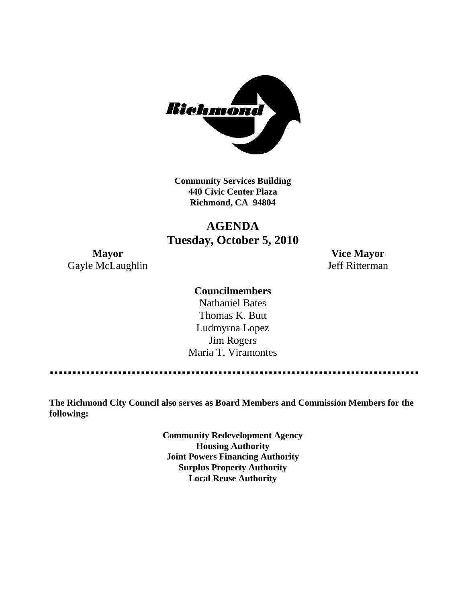

**Community Services Building 440 Civic Center Plaza Richmond, CA 94804**

# **AGENDA Tuesday, October 5, 2010**

Gayle McLaughlin Jeff Ritterman

**Mayor Vice Mayor**

### **Councilmembers**

Nathaniel Bates Thomas K. Butt Ludmyrna Lopez Jim Rogers Maria T. Viramontes

. . . . . . . . . . . . 

**The Richmond City Council also serves as Board Members and Commission Members for the following:**

> **Community Redevelopment Agency Housing Authority Joint Powers Financing Authority Surplus Property Authority Local Reuse Authority**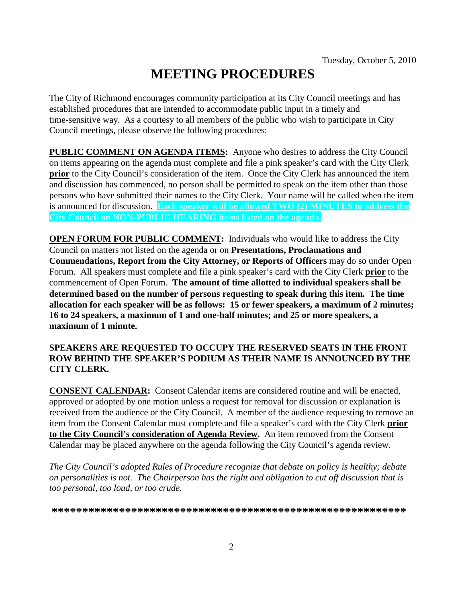# **MEETING PROCEDURES**

The City of Richmond encourages community participation at its City Council meetings and has established procedures that are intended to accommodate public input in a timely and time-sensitive way. As a courtesy to all members of the public who wish to participate in City Council meetings, please observe the following procedures:

**PUBLIC COMMENT ON AGENDA ITEMS:** Anyone who desires to address the City Council on items appearing on the agenda must complete and file a pink speaker's card with the City Clerk **prior** to the City Council's consideration of the item. Once the City Clerk has announced the item and discussion has commenced, no person shall be permitted to speak on the item other than those persons who have submitted their names to the City Clerk. Your name will be called when the item is announced for discussion. **Each speaker will be allowed TWO (2) MINUTES to address the City Council on NON-PUBLIC HEARING items listed on the agenda.**

**OPEN FORUM FOR PUBLIC COMMENT:** Individuals who would like to address the City Council on matters not listed on the agenda or on **Presentations, Proclamations and Commendations, Report from the City Attorney, or Reports of Officers** may do so under Open Forum. All speakers must complete and file a pink speaker's card with the City Clerk **prior** to the commencement of Open Forum. **The amount of time allotted to individual speakers shall be determined based on the number of persons requesting to speak during this item. The time allocation for each speaker will be as follows: 15 or fewer speakers, a maximum of 2 minutes; 16 to 24 speakers, a maximum of 1 and one-half minutes; and 25 or more speakers, a maximum of 1 minute.**

#### **SPEAKERS ARE REQUESTED TO OCCUPY THE RESERVED SEATS IN THE FRONT ROW BEHIND THE SPEAKER'S PODIUM AS THEIR NAME IS ANNOUNCED BY THE CITY CLERK.**

**CONSENT CALENDAR:** Consent Calendar items are considered routine and will be enacted, approved or adopted by one motion unless a request for removal for discussion or explanation is received from the audience or the City Council. A member of the audience requesting to remove an item from the Consent Calendar must complete and file a speaker's card with the City Clerk **prior to the City Council's consideration of Agenda Review.** An item removed from the Consent Calendar may be placed anywhere on the agenda following the City Council's agenda review.

*The City Council's adopted Rules of Procedure recognize that debate on policy is healthy; debate on personalities is not. The Chairperson has the right and obligation to cut off discussion that is too personal, too loud, or too crude.*

**\*\*\*\*\*\*\*\*\*\*\*\*\*\*\*\*\*\*\*\*\*\*\*\*\*\*\*\*\*\*\*\*\*\*\*\*\*\*\*\*\*\*\*\*\*\*\*\*\*\*\*\*\*\*\*\*\*\***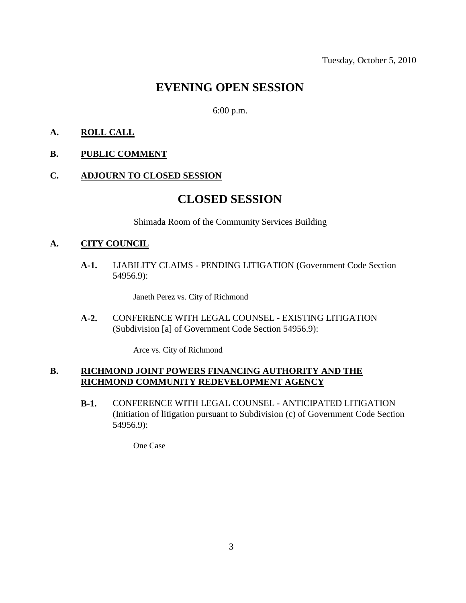# **EVENING OPEN SESSION**

6:00 p.m.

#### **A. ROLL CALL**

#### **B. PUBLIC COMMENT**

#### **C. ADJOURN TO CLOSED SESSION**

## **CLOSED SESSION**

Shimada Room of the Community Services Building

#### **A. CITY COUNCIL**

**A-1.** LIABILITY CLAIMS - PENDING LITIGATION (Government Code Section 54956.9):

Janeth Perez vs. City of Richmond

**A-2.** CONFERENCE WITH LEGAL COUNSEL - EXISTING LITIGATION (Subdivision [a] of Government Code Section 54956.9):

Arce vs. City of Richmond

#### **B. RICHMOND JOINT POWERS FINANCING AUTHORITY AND THE RICHMOND COMMUNITY REDEVELOPMENT AGENCY**

**B-1.** CONFERENCE WITH LEGAL COUNSEL - ANTICIPATED LITIGATION (Initiation of litigation pursuant to Subdivision (c) of Government Code Section 54956.9):

One Case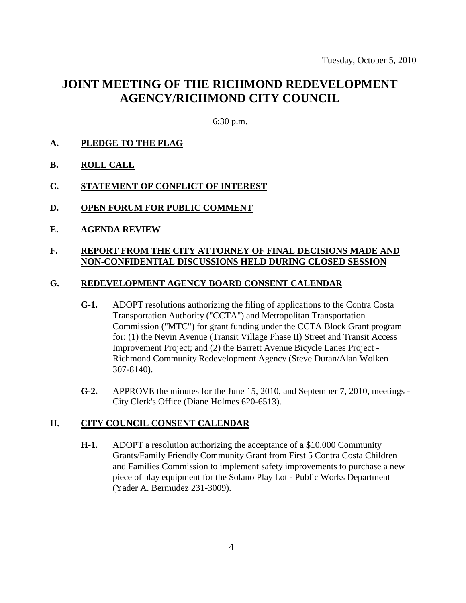# **JOINT MEETING OF THE RICHMOND REDEVELOPMENT AGENCY/RICHMOND CITY COUNCIL**

6:30 p.m.

- **A. PLEDGE TO THE FLAG**
- **B. ROLL CALL**
- **C. STATEMENT OF CONFLICT OF INTEREST**
- **D. OPEN FORUM FOR PUBLIC COMMENT**
- **E. AGENDA REVIEW**

#### **F. REPORT FROM THE CITY ATTORNEY OF FINAL DECISIONS MADE AND NON-CONFIDENTIAL DISCUSSIONS HELD DURING CLOSED SESSION**

#### **G. REDEVELOPMENT AGENCY BOARD CONSENT CALENDAR**

- **G-1.** ADOPT resolutions authorizing the filing of applications to the Contra Costa Transportation Authority ("CCTA") and Metropolitan Transportation Commission ("MTC") for grant funding under the CCTA Block Grant program for: (1) the Nevin Avenue (Transit Village Phase II) Street and Transit Access Improvement Project; and (2) the Barrett Avenue Bicycle Lanes Project - Richmond Community Redevelopment Agency (Steve Duran/Alan Wolken 307-8140).
- **G-2.** APPROVE the minutes for the June 15, 2010, and September 7, 2010, meetings City Clerk's Office (Diane Holmes 620-6513).

#### **H. CITY COUNCIL CONSENT CALENDAR**

**H-1.** ADOPT a resolution authorizing the acceptance of a \$10,000 Community Grants/Family Friendly Community Grant from First 5 Contra Costa Children and Families Commission to implement safety improvements to purchase a new piece of play equipment for the Solano Play Lot - Public Works Department (Yader A. Bermudez 231-3009).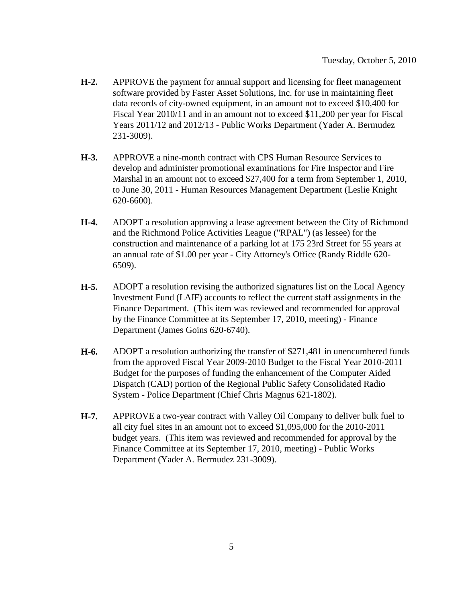- **H-2.** APPROVE the payment for annual support and licensing for fleet management software provided by Faster Asset Solutions, Inc. for use in maintaining fleet data records of city-owned equipment, in an amount not to exceed \$10,400 for Fiscal Year 2010/11 and in an amount not to exceed \$11,200 per year for Fiscal Years 2011/12 and 2012/13 - Public Works Department (Yader A. Bermudez 231-3009).
- **H-3.** APPROVE a nine-month contract with CPS Human Resource Services to develop and administer promotional examinations for Fire Inspector and Fire Marshal in an amount not to exceed \$27,400 for a term from September 1, 2010, to June 30, 2011 - Human Resources Management Department (Leslie Knight 620-6600).
- **H-4.** ADOPT a resolution approving a lease agreement between the City of Richmond and the Richmond Police Activities League ("RPAL") (as lessee) for the construction and maintenance of a parking lot at 175 23rd Street for 55 years at an annual rate of \$1.00 per year - City Attorney's Office (Randy Riddle 620- 6509).
- **H-5.** ADOPT a resolution revising the authorized signatures list on the Local Agency Investment Fund (LAIF) accounts to reflect the current staff assignments in the Finance Department. (This item was reviewed and recommended for approval by the Finance Committee at its September 17, 2010, meeting) - Finance Department (James Goins 620-6740).
- **H-6.** ADOPT a resolution authorizing the transfer of \$271,481 in unencumbered funds from the approved Fiscal Year 2009-2010 Budget to the Fiscal Year 2010-2011 Budget for the purposes of funding the enhancement of the Computer Aided Dispatch (CAD) portion of the Regional Public Safety Consolidated Radio System - Police Department (Chief Chris Magnus 621-1802).
- **H-7.** APPROVE a two-year contract with Valley Oil Company to deliver bulk fuel to all city fuel sites in an amount not to exceed \$1,095,000 for the 2010-2011 budget years. (This item was reviewed and recommended for approval by the Finance Committee at its September 17, 2010, meeting) - Public Works Department (Yader A. Bermudez 231-3009).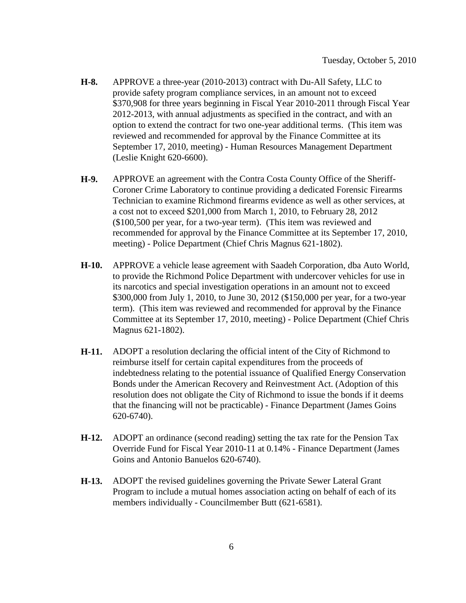- **H-8.** APPROVE a three-year (2010-2013) contract with Du-All Safety, LLC to provide safety program compliance services, in an amount not to exceed \$370,908 for three years beginning in Fiscal Year 2010-2011 through Fiscal Year 2012-2013, with annual adjustments as specified in the contract, and with an option to extend the contract for two one-year additional terms. (This item was reviewed and recommended for approval by the Finance Committee at its September 17, 2010, meeting) - Human Resources Management Department (Leslie Knight 620-6600).
- **H-9.** APPROVE an agreement with the Contra Costa County Office of the Sheriff-Coroner Crime Laboratory to continue providing a dedicated Forensic Firearms Technician to examine Richmond firearms evidence as well as other services, at a cost not to exceed \$201,000 from March 1, 2010, to February 28, 2012 (\$100,500 per year, for a two-year term). (This item was reviewed and recommended for approval by the Finance Committee at its September 17, 2010, meeting) - Police Department (Chief Chris Magnus 621-1802).
- **H-10.** APPROVE a vehicle lease agreement with Saadeh Corporation, dba Auto World, to provide the Richmond Police Department with undercover vehicles for use in its narcotics and special investigation operations in an amount not to exceed \$300,000 from July 1, 2010, to June 30, 2012 (\$150,000 per year, for a two-year term). (This item was reviewed and recommended for approval by the Finance Committee at its September 17, 2010, meeting) - Police Department (Chief Chris Magnus 621-1802).
- **H-11.** ADOPT a resolution declaring the official intent of the City of Richmond to reimburse itself for certain capital expenditures from the proceeds of indebtedness relating to the potential issuance of Qualified Energy Conservation Bonds under the American Recovery and Reinvestment Act. (Adoption of this resolution does not obligate the City of Richmond to issue the bonds if it deems that the financing will not be practicable) - Finance Department (James Goins 620-6740).
- **H-12.** ADOPT an ordinance (second reading) setting the tax rate for the Pension Tax Override Fund for Fiscal Year 2010-11 at 0.14% - Finance Department (James Goins and Antonio Banuelos 620-6740).
- **H-13.** ADOPT the revised guidelines governing the Private Sewer Lateral Grant Program to include a mutual homes association acting on behalf of each of its members individually - Councilmember Butt (621-6581).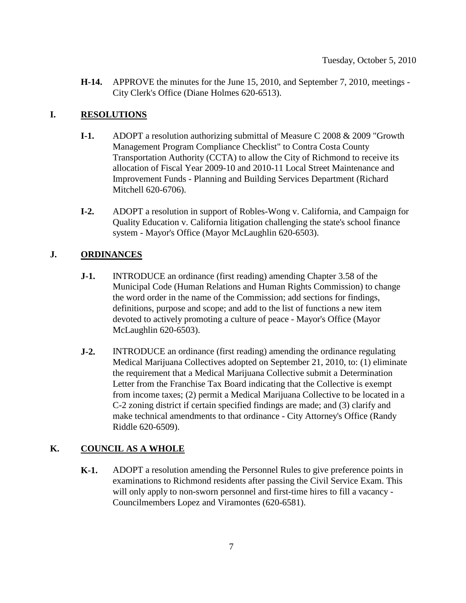**H-14.** APPROVE the minutes for the June 15, 2010, and September 7, 2010, meetings - City Clerk's Office (Diane Holmes 620-6513).

#### **I. RESOLUTIONS**

- **I-1.** ADOPT a resolution authorizing submittal of Measure C 2008 & 2009 "Growth Management Program Compliance Checklist" to Contra Costa County Transportation Authority (CCTA) to allow the City of Richmond to receive its allocation of Fiscal Year 2009-10 and 2010-11 Local Street Maintenance and Improvement Funds - Planning and Building Services Department (Richard Mitchell 620-6706).
- **I-2.** ADOPT a resolution in support of Robles-Wong v. California, and Campaign for Quality Education v. California litigation challenging the state's school finance system - Mayor's Office (Mayor McLaughlin 620-6503).

#### **J. ORDINANCES**

- **J-1.** INTRODUCE an ordinance (first reading) amending Chapter 3.58 of the Municipal Code (Human Relations and Human Rights Commission) to change the word order in the name of the Commission; add sections for findings, definitions, purpose and scope; and add to the list of functions a new item devoted to actively promoting a culture of peace - Mayor's Office (Mayor McLaughlin 620-6503).
- **J-2.** INTRODUCE an ordinance (first reading) amending the ordinance regulating Medical Marijuana Collectives adopted on September 21, 2010, to: (1) eliminate the requirement that a Medical Marijuana Collective submit a Determination Letter from the Franchise Tax Board indicating that the Collective is exempt from income taxes; (2) permit a Medical Marijuana Collective to be located in a C-2 zoning district if certain specified findings are made; and (3) clarify and make technical amendments to that ordinance - City Attorney's Office (Randy Riddle 620-6509).

#### **K. COUNCIL AS A WHOLE**

**K-1.** ADOPT a resolution amending the Personnel Rules to give preference points in examinations to Richmond residents after passing the Civil Service Exam. This will only apply to non-sworn personnel and first-time hires to fill a vacancy - Councilmembers Lopez and Viramontes (620-6581).